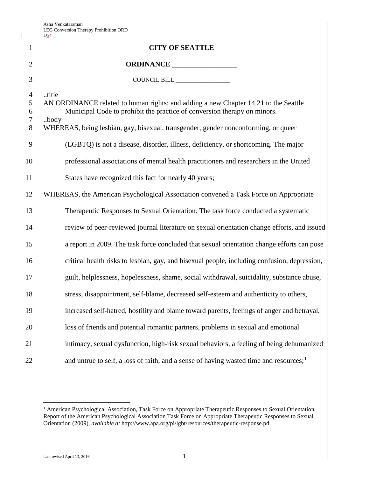$\overline{\phantom{a}}$ 

|                                    | D54                                                                                                                                                                                                                                                                    |  |
|------------------------------------|------------------------------------------------------------------------------------------------------------------------------------------------------------------------------------------------------------------------------------------------------------------------|--|
| $\mathbf{1}$                       | <b>CITY OF SEATTLE</b>                                                                                                                                                                                                                                                 |  |
| $\overline{2}$                     |                                                                                                                                                                                                                                                                        |  |
| 3                                  | COUNCIL BILL __________________                                                                                                                                                                                                                                        |  |
| $\overline{4}$<br>5<br>6<br>7<br>8 | title<br>AN ORDINANCE related to human rights; and adding a new Chapter 14.21 to the Seattle<br>Municipal Code to prohibit the practice of conversion therapy on minors.<br>body<br>WHEREAS, being lesbian, gay, bisexual, transgender, gender nonconforming, or queer |  |
| 9                                  | (LGBTQ) is not a disease, disorder, illness, deficiency, or shortcoming. The major                                                                                                                                                                                     |  |
| 10                                 | professional associations of mental health practitioners and researchers in the United                                                                                                                                                                                 |  |
| 11                                 | States have recognized this fact for nearly 40 years;                                                                                                                                                                                                                  |  |
| 12                                 | WHEREAS, the American Psychological Association convened a Task Force on Appropriate                                                                                                                                                                                   |  |
| 13                                 | Therapeutic Responses to Sexual Orientation. The task force conducted a systematic                                                                                                                                                                                     |  |
| 14                                 | review of peer-reviewed journal literature on sexual orientation change efforts, and issued                                                                                                                                                                            |  |
| 15                                 | a report in 2009. The task force concluded that sexual orientation change efforts can pose                                                                                                                                                                             |  |
| 16                                 | critical health risks to lesbian, gay, and bisexual people, including confusion, depression,                                                                                                                                                                           |  |
| 17                                 | guilt, helplessness, hopelessness, shame, social withdrawal, suicidality, substance abuse,                                                                                                                                                                             |  |
| 18                                 | stress, disappointment, self-blame, decreased self-esteem and authenticity to others,                                                                                                                                                                                  |  |
| 19                                 | increased self-hatred, hostility and blame toward parents, feelings of anger and betrayal,                                                                                                                                                                             |  |
| 20                                 | loss of friends and potential romantic partners, problems in sexual and emotional                                                                                                                                                                                      |  |
| 21                                 | intimacy, sexual dysfunction, high-risk sexual behaviors, a feeling of being dehumanized                                                                                                                                                                               |  |
| 22                                 | and untrue to self, a loss of faith, and a sense of having wasted time and resources; <sup>1</sup>                                                                                                                                                                     |  |
|                                    |                                                                                                                                                                                                                                                                        |  |

<span id="page-0-0"></span><sup>&</sup>lt;sup>1</sup> American Psychological Association, Task Force on Appropriate Therapeutic Responses to Sexual Orientation, Report of the American Psychological Association Task Force on Appropriate Therapeutic Responses to Sexual Orientation (2009), *available at* http://www.apa.org/pi/lgbt/resources/therapeutic-response.pd.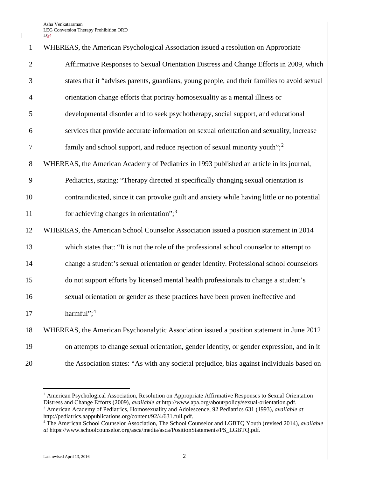Asha Venkataraman LEG Conversion Therapy Prohibition ORD D54

 $\mathsf{l}$ 

| $\mathbf{1}$   | WHEREAS, the American Psychological Association issued a resolution on Appropriate           |
|----------------|----------------------------------------------------------------------------------------------|
| $\overline{2}$ | Affirmative Responses to Sexual Orientation Distress and Change Efforts in 2009, which       |
| 3              | states that it "advises parents, guardians, young people, and their families to avoid sexual |
| $\overline{4}$ | orientation change efforts that portray homosexuality as a mental illness or                 |
| 5              | developmental disorder and to seek psychotherapy, social support, and educational            |
| 6              | services that provide accurate information on sexual orientation and sexuality, increase     |
| $\tau$         | family and school support, and reduce rejection of sexual minority youth"; <sup>2</sup>      |
| 8              | WHEREAS, the American Academy of Pediatrics in 1993 published an article in its journal,     |
| 9              | Pediatrics, stating: "Therapy directed at specifically changing sexual orientation is        |
| 10             | contraindicated, since it can provoke guilt and anxiety while having little or no potential  |
| 11             | for achieving changes in orientation"; <sup>3</sup>                                          |
| 12             | WHEREAS, the American School Counselor Association issued a position statement in 2014       |
| 13             | which states that: "It is not the role of the professional school counselor to attempt to    |
| 14             | change a student's sexual orientation or gender identity. Professional school counselors     |
| 15             | do not support efforts by licensed mental health professionals to change a student's         |
| 16             | sexual orientation or gender as these practices have been proven ineffective and             |
| 17             | harmful"; $4$                                                                                |
| 18             | WHEREAS, the American Psychoanalytic Association issued a position statement in June 2012    |
| 19             | on attempts to change sexual orientation, gender identity, or gender expression, and in it   |
| 20             | the Association states: "As with any societal prejudice, bias against individuals based on   |

<span id="page-1-0"></span> American Psychological Association, Resolution on Appropriate Affirmative Responses to Sexual Orientation Distress and Change Efforts (2009), *available at* http://www.apa.org/about/policy/sexual-orientation.pdf. American Academy of Pediatrics, Homosexuality and Adolescence, 92 Pediatrics 631 (1993), *available at* http://pediatrics.aappublications.org/content/92/4/631.full.pdf.

<span id="page-1-2"></span><span id="page-1-1"></span> The American School Counselor Association, The School Counselor and LGBTQ Youth (revised 2014), *available at* https://www.schoolcounselor.org/asca/media/asca/PositionStatements/PS\_LGBTQ.pdf.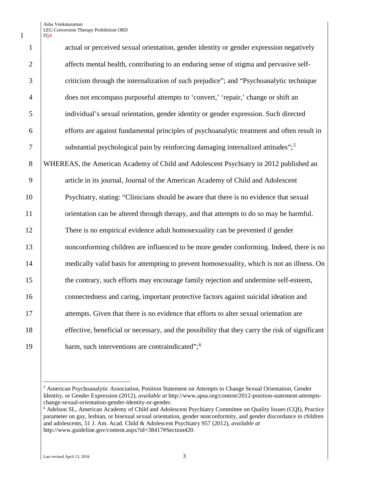Asha Venkataraman LEG Conversion Therapy Prohibition ORD D<sub>54</sub>

| $\mathbf{1}$   | actual or perceived sexual orientation, gender identity or gender expression negatively         |  |
|----------------|-------------------------------------------------------------------------------------------------|--|
| $\overline{2}$ | affects mental health, contributing to an enduring sense of stigma and pervasive self-          |  |
| 3              | criticism through the internalization of such prejudice"; and "Psychoanalytic technique         |  |
| $\overline{4}$ | does not encompass purposeful attempts to 'convert,' 'repair,' change or shift an               |  |
| 5              | individual's sexual orientation, gender identity or gender expression. Such directed            |  |
| 6              | efforts are against fundamental principles of psychoanalytic treatment and often result in      |  |
| $\overline{7}$ | substantial psychological pain by reinforcing damaging internalized attitudes"; <sup>5</sup>    |  |
| 8              | WHEREAS, the American Academy of Child and Adolescent Psychiatry in 2012 published an           |  |
| 9              | article in its journal, Journal of the American Academy of Child and Adolescent                 |  |
| 10             | Psychiatry, stating: "Clinicians should be aware that there is no evidence that sexual          |  |
| 11             | orientation can be altered through therapy, and that attempts to do so may be harmful.          |  |
| 12             | There is no empirical evidence adult homosexuality can be prevented if gender                   |  |
| 13             | nonconforming children are influenced to be more gender conforming. Indeed, there is no         |  |
| 14             | medically valid basis for attempting to prevent homosexuality, which is not an illness. On      |  |
| 15             | the contrary, such efforts may encourage family rejection and undermine self-esteem,            |  |
| 16             | connectedness and caring, important protective factors against suicidal ideation and            |  |
| 17             | attempts. Given that there is no evidence that efforts to alter sexual orientation are          |  |
| 18             | effective, beneficial or necessary, and the possibility that they carry the risk of significant |  |
| 19             | harm, such interventions are contraindicated"; <sup>6</sup>                                     |  |

<span id="page-2-0"></span> American Psychoanalytic Association, Position Statement on Attempts to Change Sexual Orientation, Gender Identity, or Gender Expression (2012), *available at* http://www.apsa.org/content/2012-position-statement-attemptschange-sexual-orientation-gender-identity-or-gender.

<span id="page-2-1"></span> Adelson SL, American Academy of Child and Adolescent Psychiatry Committee on Quality Issues (CQI), Practice parameter on gay, lesbian, or bisexual sexual orientation, gender nonconformity, and gender discordance in children and adolescents, 51 J. Am. Acad. Child & Adolescent Psychiatry 957 (2012), *available at* http://www.guideline.gov/content.aspx?id=38417#Section420.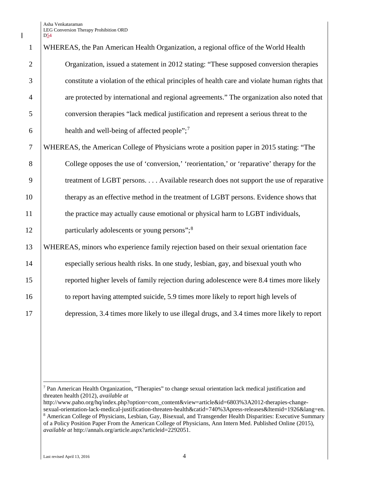Asha Venkataraman LEG Conversion Therapy Prohibition ORD

|                | D <sub>54</sub>                                                                               |  |
|----------------|-----------------------------------------------------------------------------------------------|--|
| $\mathbf{1}$   | WHEREAS, the Pan American Health Organization, a regional office of the World Health          |  |
| $\overline{2}$ | Organization, issued a statement in 2012 stating: "These supposed conversion therapies        |  |
| 3              | constitute a violation of the ethical principles of health care and violate human rights that |  |
| $\overline{4}$ | are protected by international and regional agreements." The organization also noted that     |  |
| 5              | conversion therapies "lack medical justification and represent a serious threat to the        |  |
| 6              | health and well-being of affected people"; <sup>7</sup>                                       |  |
| $\tau$         | WHEREAS, the American College of Physicians wrote a position paper in 2015 stating: "The      |  |
| 8              | College opposes the use of 'conversion,' 'reorientation,' or 'reparative' therapy for the     |  |
| 9              | treatment of LGBT persons. Available research does not support the use of reparative          |  |
| 10             | therapy as an effective method in the treatment of LGBT persons. Evidence shows that          |  |
| 11             | the practice may actually cause emotional or physical harm to LGBT individuals,               |  |
| 12             | particularly adolescents or young persons"; <sup>8</sup>                                      |  |
| 13             | WHEREAS, minors who experience family rejection based on their sexual orientation face        |  |
| 14             | especially serious health risks. In one study, lesbian, gay, and bisexual youth who           |  |
| 15             | reported higher levels of family rejection during adolescence were 8.4 times more likely      |  |
| 16             | to report having attempted suicide, 5.9 times more likely to report high levels of            |  |
| 17             | depression, 3.4 times more likely to use illegal drugs, and 3.4 times more likely to report   |  |
|                |                                                                                               |  |

<span id="page-3-0"></span> Pan American Health Organization, "Therapies" to change sexual orientation lack medical justification and threaten health (2012), *available at*

<span id="page-3-1"></span>http://www.paho.org/hq/index.php?option=com\_content&view=article&id=6803%3A2012-therapies-changesexual-orientation-lack-medical-justification-threaten-health&catid=740%3Apress-releases&Itemid=1926&lang=en. American College of Physicians, Lesbian, Gay, Bisexual, and Transgender Health Disparities: Executive Summary of a Policy Position Paper From the American College of Physicians, Ann Intern Med. Published Online (2015), *available at* http://annals.org/article.aspx?articleid=2292051.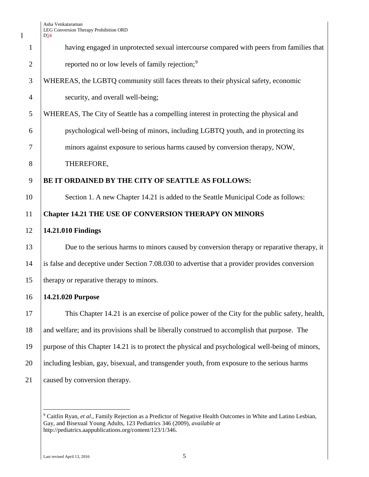$\mathbf I$ 

|                | D <sub>24</sub>                                                                                  |  |
|----------------|--------------------------------------------------------------------------------------------------|--|
| $\mathbf{1}$   | having engaged in unprotected sexual intercourse compared with peers from families that          |  |
| $\overline{2}$ | reported no or low levels of family rejection; <sup>9</sup>                                      |  |
| 3              | WHEREAS, the LGBTQ community still faces threats to their physical safety, economic              |  |
| $\overline{4}$ | security, and overall well-being;                                                                |  |
| 5              | WHEREAS, The City of Seattle has a compelling interest in protecting the physical and            |  |
| 6              | psychological well-being of minors, including LGBTQ youth, and in protecting its                 |  |
| 7              | minors against exposure to serious harms caused by conversion therapy, NOW,                      |  |
| 8              | THEREFORE,                                                                                       |  |
| 9              | BE IT ORDAINED BY THE CITY OF SEATTLE AS FOLLOWS:                                                |  |
| 10             | Section 1. A new Chapter 14.21 is added to the Seattle Municipal Code as follows:                |  |
| 11             | <b>Chapter 14.21 THE USE OF CONVERSION THERAPY ON MINORS</b>                                     |  |
| 12             | 14.21.010 Findings                                                                               |  |
| 13             | Due to the serious harms to minors caused by conversion therapy or reparative therapy, it        |  |
| 14             | is false and deceptive under Section 7.08.030 to advertise that a provider provides conversion   |  |
| 15             | therapy or reparative therapy to minors.                                                         |  |
| 16             | 14.21.020 Purpose                                                                                |  |
| 17             | This Chapter 14.21 is an exercise of police power of the City for the public safety, health,     |  |
| 18             | and welfare; and its provisions shall be liberally construed to accomplish that purpose. The     |  |
| 19             | purpose of this Chapter 14.21 is to protect the physical and psychological well-being of minors, |  |
| 20             | including lesbian, gay, bisexual, and transgender youth, from exposure to the serious harms      |  |
| 21             | caused by conversion therapy.                                                                    |  |
|                |                                                                                                  |  |

<span id="page-4-0"></span> <sup>9</sup> Caitlin Ryan, *et al*., Family Rejection as a Predictor of Negative Health Outcomes in White and Latino Lesbian, Gay, and Bisexual Young Adults, 123 Pediatrics 346 (2009), *available at* http://pediatrics.aappublications.org/content/123/1/346.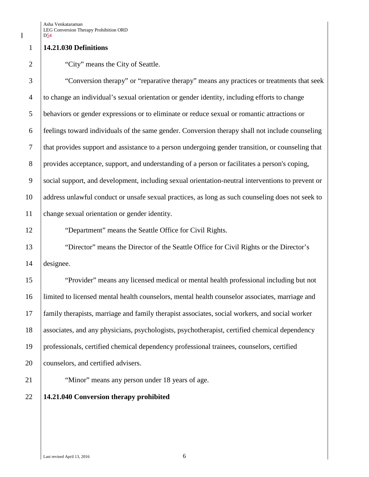## **14.21.030 Definitions**

## 2 City" means the City of Seattle.

 "Conversion therapy" or "reparative therapy" means any practices or treatments that seek to change an individual's sexual orientation or gender identity, including efforts to change behaviors or gender expressions or to eliminate or reduce sexual or romantic attractions or feelings toward individuals of the same gender. Conversion therapy shall not include counseling that provides support and assistance to a person undergoing gender transition, or counseling that provides acceptance, support, and understanding of a person or facilitates a person's coping, social support, and development, including sexual orientation-neutral interventions to prevent or address unlawful conduct or unsafe sexual practices, as long as such counseling does not seek to change sexual orientation or gender identity.

"Department" means the Seattle Office for Civil Rights.

 "Director" means the Director of the Seattle Office for Civil Rights or the Director's designee.

 "Provider" means any licensed medical or mental health professional including but not limited to licensed mental health counselors, mental health counselor associates, marriage and family therapists, marriage and family therapist associates, social workers, and social worker associates, and any physicians, psychologists, psychotherapist, certified chemical dependency professionals, certified chemical dependency professional trainees, counselors, certified 20 counselors, and certified advisers.

21 | "Minor" means any person under 18 years of age.

## **14.21.040 Conversion therapy prohibited**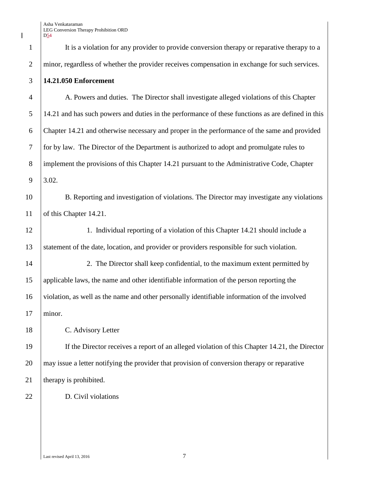1 It is a violation for any provider to provide conversion therapy or reparative therapy to a 2 minor, regardless of whether the provider receives compensation in exchange for such services. 3 **14.21.050 Enforcement**

 A. Powers and duties. The Director shall investigate alleged violations of this Chapter 14.21 and has such powers and duties in the performance of these functions as are defined in this Chapter 14.21 and otherwise necessary and proper in the performance of the same and provided for by law. The Director of the Department is authorized to adopt and promulgate rules to 8 implement the provisions of this Chapter 14.21 pursuant to the Administrative Code, Chapter  $9 \mid 3.02.$ 

10 B. Reporting and investigation of violations. The Director may investigate any violations 11 of this Chapter 14.21.

12 1. Individual reporting of a violation of this Chapter 14.21 should include a 13 Statement of the date, location, and provider or providers responsible for such violation.

14 2. The Director shall keep confidential, to the maximum extent permitted by 15 applicable laws, the name and other identifiable information of the person reporting the 16 violation, as well as the name and other personally identifiable information of the involved 17 | minor.

18 C. Advisory Letter

19 If the Director receives a report of an alleged violation of this Chapter 14.21, the Director 20 may issue a letter notifying the provider that provision of conversion therapy or reparative 21 | therapy is prohibited.

22 D. Civil violations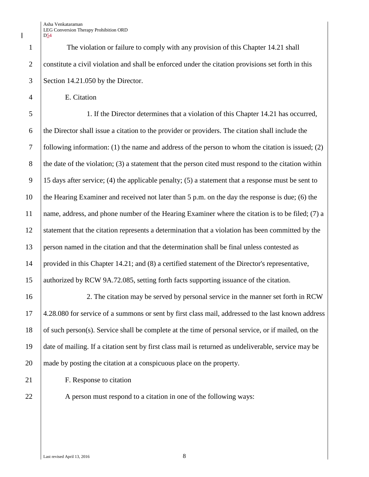Asha Venkataraman LEG Conversion Therapy Prohibition ORD D54

1 The violation or failure to comply with any provision of this Chapter 14.21 shall constitute a civil violation and shall be enforced under the citation provisions set forth in this Section 14.21.050 by the Director.

E. Citation

 1. If the Director determines that a violation of this Chapter 14.21 has occurred, the Director shall issue a citation to the provider or providers. The citation shall include the following information: (1) the name and address of the person to whom the citation is issued; (2) 8 the date of the violation; (3) a statement that the person cited must respond to the citation within 9 | 15 days after service; (4) the applicable penalty; (5) a statement that a response must be sent to the Hearing Examiner and received not later than 5 p.m. on the day the response is due; (6) the 11 | name, address, and phone number of the Hearing Examiner where the citation is to be filed; (7) a statement that the citation represents a determination that a violation has been committed by the person named in the citation and that the determination shall be final unless contested as provided in this Chapter 14.21; and (8) a certified statement of the Director's representative, 15 authorized by RCW 9A.72.085, setting forth facts supporting issuance of the citation.

 2. The citation may be served by personal service in the manner set forth in RCW 4.28.080 for service of a summons or sent by first class mail, addressed to the last known address of such person(s). Service shall be complete at the time of personal service, or if mailed, on the date of mailing. If a citation sent by first class mail is returned as undeliverable, service may be made by posting the citation at a conspicuous place on the property.

**F.** Response to citation

22 A person must respond to a citation in one of the following ways: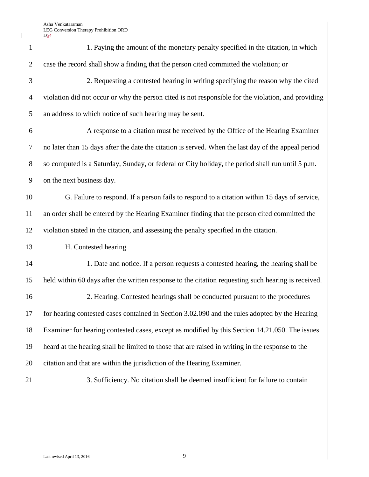$\begin{array}{c} \hline \end{array}$ 

| $\mathbf{1}$   | 1. Paying the amount of the monetary penalty specified in the citation, in which                    |  |
|----------------|-----------------------------------------------------------------------------------------------------|--|
| $\overline{2}$ | case the record shall show a finding that the person cited committed the violation; or              |  |
| 3              | 2. Requesting a contested hearing in writing specifying the reason why the cited                    |  |
| $\overline{4}$ | violation did not occur or why the person cited is not responsible for the violation, and providing |  |
| 5              | an address to which notice of such hearing may be sent.                                             |  |
| 6              | A response to a citation must be received by the Office of the Hearing Examiner                     |  |
| $\overline{7}$ | no later than 15 days after the date the citation is served. When the last day of the appeal period |  |
| 8              | so computed is a Saturday, Sunday, or federal or City holiday, the period shall run until 5 p.m.    |  |
| 9              | on the next business day.                                                                           |  |
| 10             | G. Failure to respond. If a person fails to respond to a citation within 15 days of service,        |  |
| 11             | an order shall be entered by the Hearing Examiner finding that the person cited committed the       |  |
| 12             | violation stated in the citation, and assessing the penalty specified in the citation.              |  |
| 13             | H. Contested hearing                                                                                |  |
| 14             | 1. Date and notice. If a person requests a contested hearing, the hearing shall be                  |  |
| 15             | held within 60 days after the written response to the citation requesting such hearing is received. |  |
| 16             | 2. Hearing. Contested hearings shall be conducted pursuant to the procedures                        |  |
| 17             | for hearing contested cases contained in Section 3.02.090 and the rules adopted by the Hearing      |  |
| 18             | Examiner for hearing contested cases, except as modified by this Section 14.21.050. The issues      |  |
| 19             | heard at the hearing shall be limited to those that are raised in writing in the response to the    |  |
| 20             | citation and that are within the jurisdiction of the Hearing Examiner.                              |  |
| 21             | 3. Sufficiency. No citation shall be deemed insufficient for failure to contain                     |  |
|                |                                                                                                     |  |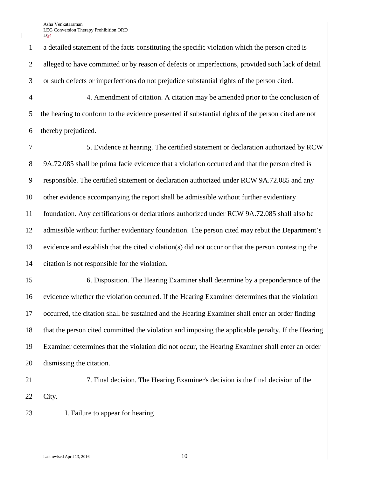Asha Venkataraman LEG Conversion Therapy Prohibition ORD D<sub>54</sub>

 a detailed statement of the facts constituting the specific violation which the person cited is 2 alleged to have committed or by reason of defects or imperfections, provided such lack of detail or such defects or imperfections do not prejudice substantial rights of the person cited.

 4. Amendment of citation. A citation may be amended prior to the conclusion of the hearing to conform to the evidence presented if substantial rights of the person cited are not thereby prejudiced.

 5. Evidence at hearing. The certified statement or declaration authorized by RCW 9A.72.085 shall be prima facie evidence that a violation occurred and that the person cited is responsible. The certified statement or declaration authorized under RCW 9A.72.085 and any 10 other evidence accompanying the report shall be admissible without further evidentiary foundation. Any certifications or declarations authorized under RCW 9A.72.085 shall also be admissible without further evidentiary foundation. The person cited may rebut the Department's evidence and establish that the cited violation(s) did not occur or that the person contesting the citation is not responsible for the violation.

 6. Disposition. The Hearing Examiner shall determine by a preponderance of the evidence whether the violation occurred. If the Hearing Examiner determines that the violation occurred, the citation shall be sustained and the Hearing Examiner shall enter an order finding that the person cited committed the violation and imposing the applicable penalty. If the Hearing Examiner determines that the violation did not occur, the Hearing Examiner shall enter an order dismissing the citation.

7. Final decision. The Hearing Examiner's decision is the final decision of the

23 I. Failure to appear for hearing

Last revised April 13, 2016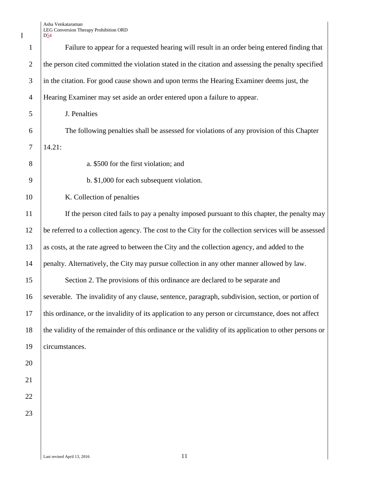Asha Venkataraman LEG Conversion Therapy Prohibition ORD

 $\begin{array}{c} \hline \end{array}$ 

|                | $D_{24}$                                                                                               |  |
|----------------|--------------------------------------------------------------------------------------------------------|--|
| $\mathbf{1}$   | Failure to appear for a requested hearing will result in an order being entered finding that           |  |
| $\overline{2}$ | the person cited committed the violation stated in the citation and assessing the penalty specified    |  |
| 3              | in the citation. For good cause shown and upon terms the Hearing Examiner deems just, the              |  |
| $\overline{4}$ | Hearing Examiner may set aside an order entered upon a failure to appear.                              |  |
| 5              | J. Penalties                                                                                           |  |
| 6              | The following penalties shall be assessed for violations of any provision of this Chapter              |  |
| 7              | 14.21:                                                                                                 |  |
| 8              | a. \$500 for the first violation; and                                                                  |  |
| 9              | b. \$1,000 for each subsequent violation.                                                              |  |
| 10             | K. Collection of penalties                                                                             |  |
| 11             | If the person cited fails to pay a penalty imposed pursuant to this chapter, the penalty may           |  |
| 12             | be referred to a collection agency. The cost to the City for the collection services will be assessed  |  |
| 13             | as costs, at the rate agreed to between the City and the collection agency, and added to the           |  |
| 14             | penalty. Alternatively, the City may pursue collection in any other manner allowed by law.             |  |
| 15             | Section 2. The provisions of this ordinance are declared to be separate and                            |  |
| 16             | severable. The invalidity of any clause, sentence, paragraph, subdivision, section, or portion of      |  |
| 17             | this ordinance, or the invalidity of its application to any person or circumstance, does not affect    |  |
| 18             | the validity of the remainder of this ordinance or the validity of its application to other persons or |  |
| 19             | circumstances.                                                                                         |  |
| 20             |                                                                                                        |  |
| 21             |                                                                                                        |  |
| 22             |                                                                                                        |  |
| 23             |                                                                                                        |  |
|                |                                                                                                        |  |
|                |                                                                                                        |  |